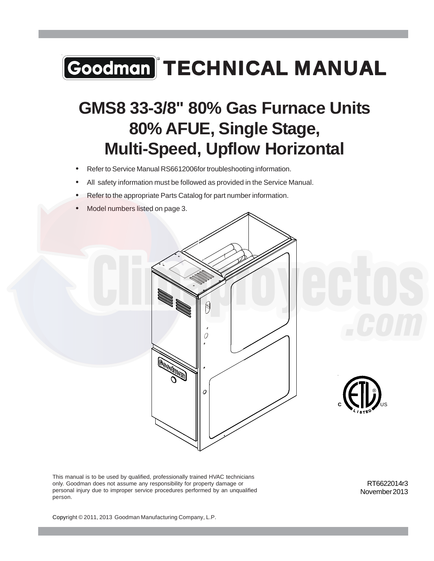# Goodman) TECHNICAL MANUAL

## **GMS8 33-3/8" 80% Gas Furnace Units 80% AFUE, Single Stage, Multi-Speed, Upflow Horizontal**

- Refer to Service Manual RS6612006for troubleshooting information.
- All safety information must be followed as provided in the Service Manual.
- Refer to the appropriate Parts Catalog for part number information.
- Model numbers listed on page 3.





This manual is to be used by qualified, professionally trained HVAC technicians only. Goodman does not assume any responsibility for property damage or personal injury due to improper service procedures performed by an unqualified person.

RT6622014r3 November 2013

Copyright © 2011, 2013 Goodman Manufacturing Company, L.P.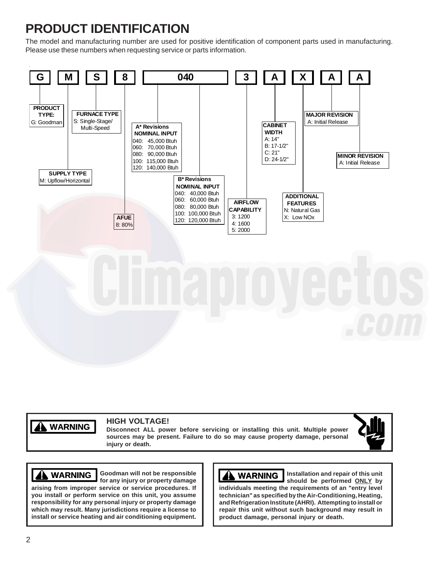### **PRODUCT IDENTIFICATION**

The model and manufacturing number are used for positive identification of component parts used in manufacturing. Please use these numbers when requesting service or parts information.



**WARNING**

#### **HIGH VOLTAGE!**

**Disconnect ALL power before servicing or installing this unit. Multiple power sources may be present. Failure to do so may cause property damage, personal injury or death.**



#### **WARNING**  $\begin{bmatrix} \text{Goodman will not be responsible} \\ \text{converg} \end{bmatrix}$   $\begin{bmatrix} \text{A} \\ \text{B} \end{bmatrix}$  **WARNING for any injury or property damage**

**arising from improper service or service procedures. If you install or perform service on this unit, you assume responsibility for any personal injury or property damage which may result. Many jurisdictions require a license to install or service heating and air conditioning equipment.**

**should be performed ONLY by individuals meeting the requirements of an "entry level technician" as specified by the Air-Conditioning, Heating, and Refrigeration Institute (AHRI). Attempting to install or repair this unit without such background may result in product damage, personal injury or death.**

**Installation and repair of this unit**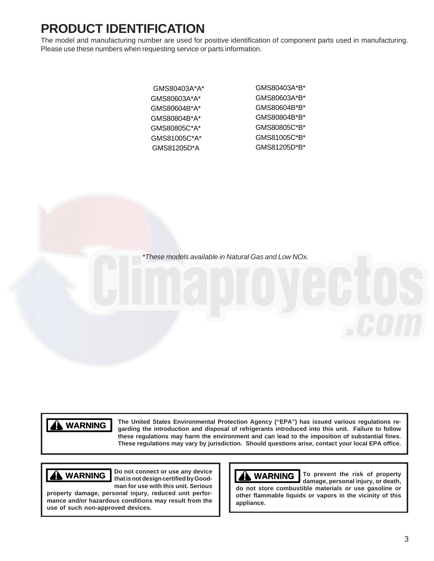### **PRODUCT IDENTIFICATION**

The model and manufacturing number are used for positive identification of component parts used in manufacturing. Please use these numbers when requesting service or parts information.

| GMS80403A*A* | GMS80403A*B* |
|--------------|--------------|
| GMS80603A*A* | GMS80603A*B* |
| GMS80604B*A* | GMS80604B*B* |
| GMS80804B*A* | GMS80804B*B* |
| GMS80805C*A* | GMS80805C*B* |
| GMS81005C*A* | GMS81005C*B* |
| GMS81205D*A  | GMS81205D*B* |

*\*These models available in Natural Gas and Low NOx.*

#### **WARNING**

**The United States Environmental Protection Agency ("EPA") has issued various regulations regarding the introduction and disposal of refrigerants introduced into this unit. Failure to follow these regulations may harm the environment and can lead to the imposition of substantial fines. These regulations may vary by jurisdiction. Should questions arise, contact your local EPA office.**

**Do not connect or use any device that is not design certified by Goodman for use with this unit. Serious**

**property damage, personal injury, reduced unit performance and/or hazardous conditions may result from the use of such non-approved devices.**

**WARNING**

**WARNING**  $\begin{bmatrix} 100 \text{ not connect or use any device} \\ \text{the set is not design certified by Good.} \end{bmatrix}$  **MARNING** To prevent the risk of property **damage, personal injury, or death, do not store combustible materials or use gasoline or other flammable liquids or vapors in the vicinity of this appliance.**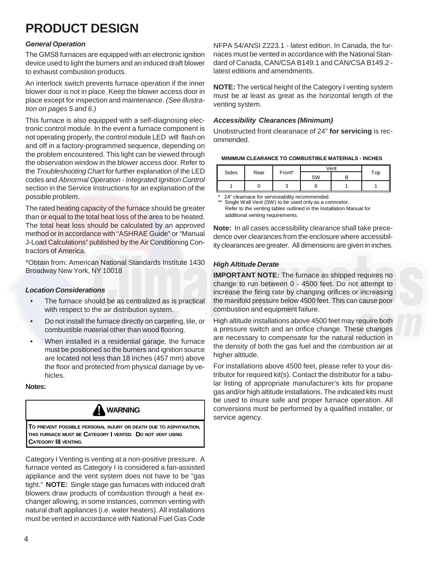#### *General Operation*

The GMS8 furnaces are equipped with an electronic ignition device used to light the burners and an induced draft blower to exhaust combustion products.

An interlock switch prevents furnace operation if the inner blower door is not in place. Keep the blower access door in place except for inspection and maintenance. *(See illustration on pages 5 and 6.)*

This furnace is also equipped with a self-diagnosing electronic control module. In the event a furnace component is not operating properly, the control module LED will flash on and off in a factory-programmed sequence, depending on the problem encountered. This light can be viewed through the observation window in the blower access door. Refer to the *Troubleshooting Chart* for further explanation of the LED codes and *Abnormal Operation - Integrated Ignition Control* section in the Service Instructions for an explanation of the possible problem.

The rated heating capacity of the furnace should be greater than or equal to the total heat loss of the area to be heated. The total heat loss should be calculated by an approved method or in accordance with "ASHRAE Guide" or "Manual J-Load Calculations" published by the Air Conditioning Contractors of America.

\*Obtain from: American National Standards Institute 1430 Broadway New York, NY 10018

#### *Location Considerations*

- The furnace should be as centralized as is practical with respect to the air distribution system.
- Do not install the furnace directly on carpeting, tile, or combustible material other than wood flooring.
- When installed in a residential garage, the furnace must be positioned so the burners and ignition source are located not less than 18 inches (457 mm) above the floor and protected from physical damage by vehicles.

#### **Notes:**



Category I Venting is venting at a non-positive pressure. A furnace vented as Category I is considered a fan-assisted appliance and the vent system does not have to be "gas tight." **NOTE:** Single stage gas furnaces with induced draft blowers draw products of combustion through a heat exchanger allowing, in some instances, common venting with natural draft appliances (i.e. water heaters). All installations must be vented in accordance with National Fuel Gas Code

NFPA 54/ANSI Z223.1 - latest edition. In Canada, the furnaces must be vented in accordance with the National Standard of Canada, CAN/CSA B149.1 and CAN/CSA B149.2 latest editions and amendments.

**NOTE:** The vertical height of the Category I venting system must be at least as great as the horizontal length of the venting system.

#### *Accessibility Clearances (Minimum)*

Unobstructed front clearanace of 24" **for servicing** is recommended.

| <b>MINIMUM CLEARANCE TO COMBUSTIBLE MATERIALS - INCHES</b> |
|------------------------------------------------------------|
|                                                            |

|       |      |        |    | Vent |     |
|-------|------|--------|----|------|-----|
| Sides | Rear | Front* | SW |      | Top |
|       |      |        |    |      |     |

24" clearnace for serviceability recommended.

Single Wall Vent (SW) to be used only as a conncetor. Refer to the venting tables outlined in the Installation Manual for additional venting requirements.

**Note:** In all cases accessibility clearance shall take precedence over clearances from the enclosure where accessibility clearances are greater. All dimensions are given in inches.

#### *High Altitude Derate*

**IMPORTANT NOTE:** The furnace as shipped requires no change to run between 0 - 4500 feet. Do not attempt to increase the firing rate by changing orifices or increasing the manifold pressure below 4500 feet. This can cause poor combustion and equipment failure.

High altitude installations above 4500 feet may require both a pressure switch and an orifice change. These changes are necessary to compensate for the natural reduction in the density of both the gas fuel and the combustion air at higher altitude.

For installations above 4500 feet, please refer to your distributor for required kit(s). Contact the distributor for a tabular listing of appropriate manufacturer's kits for propane gas and/or high altitude installations. The indicated kits must be used to insure safe and proper furnace operation. All conversions must be performed by a qualified installer, or service agency.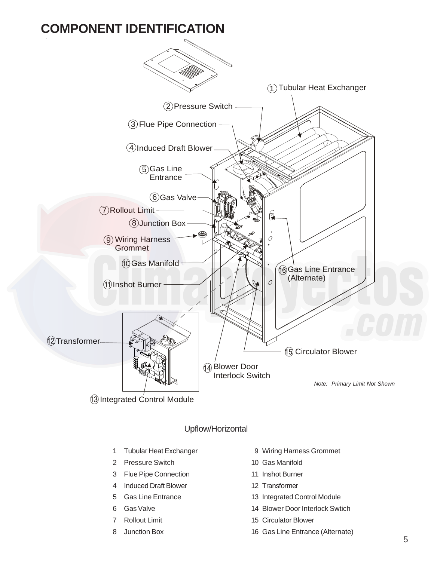### **COMPONENT IDENTIFICATION**



#### Upflow/Horizontal

- 1 Tubular Heat Exchanger
- 2 Pressure Switch
- 3 Flue Pipe Connection
- 4 Induced Draft Blower
- 5 Gas Line Entrance
- 6 Gas Valve
- 7 Rollout Limit
- 8 Junction Box
- 9 Wiring Harness Grommet
- 10 Gas Manifold
- 11 Inshot Burner
- 12 Transformer
- 13 Integrated Control Module
- 14 Blower Door Interlock Swtich
- 15 Circulator Blower
- 16 Gas Line Entrance (Alternate)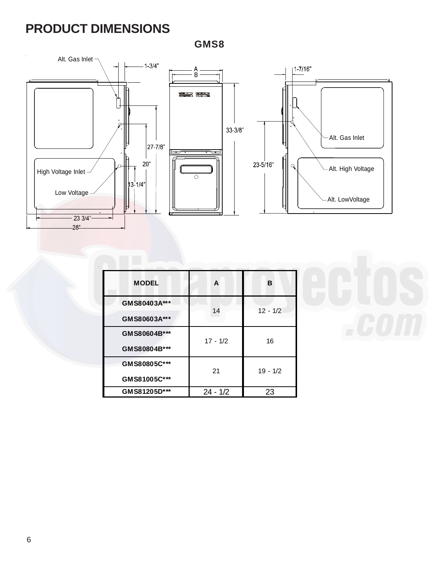### **PRODUCT DIMENSIONS**

**GMS8**







| <b>MODEL</b>  | A          | в          |  |
|---------------|------------|------------|--|
| GMS80403A***  | 14         | $12 - 1/2$ |  |
| GMS80603A***  |            |            |  |
| GMS80604B***  | $17 - 1/2$ | 16         |  |
| GM S80804B*** |            |            |  |
| GM S80805C*** | 21         | $19 - 1/2$ |  |
| GMS81005C***  |            |            |  |
| GMS81205D***  | $24 - 1/2$ | 23         |  |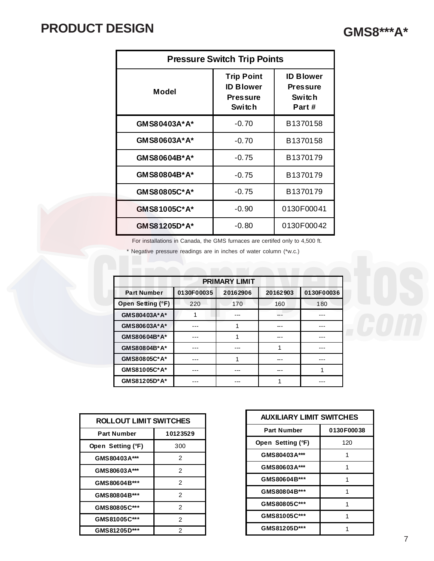| <b>Pressure Switch Trip Points</b> |                                                                           |                                                               |  |
|------------------------------------|---------------------------------------------------------------------------|---------------------------------------------------------------|--|
| Model                              | <b>Trip Point</b><br><b>ID Blower</b><br><b>Pressure</b><br><b>Switch</b> | <b>ID Blower</b><br><b>Pressure</b><br><b>Switch</b><br>Part# |  |
| GMS80403A*A*                       | $-0.70$                                                                   | B1370158                                                      |  |
| GMS80603A*A*                       | $-0.70$                                                                   | B1370158                                                      |  |
| GMS80604B*A*                       | $-0.75$                                                                   | B1370179                                                      |  |
| GMS80804B*A*                       | $-0.75$                                                                   | B1370179                                                      |  |
| GMS80805C*A*                       | $-0.75$                                                                   | B1370179                                                      |  |
| GMS81005C*A*                       | $-0.90$                                                                   | 0130F00041                                                    |  |
| GMS81205D*A*                       | $-0.80$                                                                   | 0130F00042                                                    |  |

For installations in Canada, the GMS furnaces are certifed only to 4,500 ft.

\* Negative pressure readings are in inches of water column (\*w.c.)

|                    | <b>PRIMARY LIMIT</b> |          |          |            |  |
|--------------------|----------------------|----------|----------|------------|--|
| <b>Part Number</b> | 0130F00035           | 20162906 | 20162903 | 0130F00036 |  |
| Open Setting (°F)  | 220                  | 170      | 160      | 180        |  |
| GMS80403A*A*       |                      |          |          |            |  |
| GMS80603A*A*       |                      |          |          |            |  |
| GMS80604B*A*       |                      |          | ---      |            |  |
| GMS80804B*A*       |                      |          |          |            |  |
| GMS80805C*A*       |                      |          |          |            |  |
| GMS81005C*A*       |                      |          |          |            |  |
| GMS81205D*A*       |                      |          |          |            |  |

| ROLLOUT LIMIT SWITCHES |          |  |
|------------------------|----------|--|
| <b>Part Number</b>     | 10123529 |  |
| Open Setting (°F)      | 300      |  |
| GMS80403A***           | 2        |  |
| GMS80603A***           | 2        |  |
| GMS80604B***           | 2        |  |
| GMS80804B***           | 2        |  |
| GMS80805C***           | 2        |  |
| GMS81005C***           | 2        |  |
| GMS81205D***           | 2        |  |

| <b>AUXILIARY LIMIT SWITCHES</b> |            |  |
|---------------------------------|------------|--|
| <b>Part Number</b>              | 0130F00038 |  |
| Open Setting (°F)               | 120        |  |
| GMS80403A***                    |            |  |
| GMS80603A***                    |            |  |
| GMS80604B***                    |            |  |
| GMS80804B***                    |            |  |
| GMS80805C***                    |            |  |
| GMS81005C***                    |            |  |
| GMS81205D***                    |            |  |

7

**GMS8\*\*\*A\***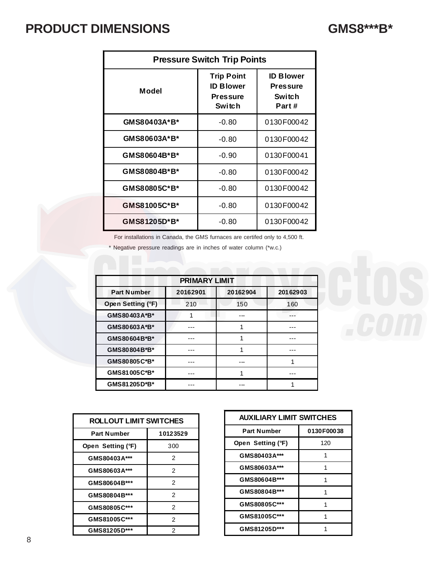### **PRODUCT DIMENSIONS**

| <b>Pressure Switch Trip Points</b> |                                                                           |                                                        |  |
|------------------------------------|---------------------------------------------------------------------------|--------------------------------------------------------|--|
| Model                              | <b>Trip Point</b><br><b>ID Blower</b><br><b>Pressure</b><br><b>Switch</b> | <b>ID Blower</b><br><b>Pressure</b><br>Switch<br>Part# |  |
| GMS80403A*B*                       | $-0.80$                                                                   | 0130F00042                                             |  |
| GMS80603A*B*                       | $-0.80$                                                                   | 0130F00042                                             |  |
| GMS80604B*B*                       | $-0.90$                                                                   | 0130F00041                                             |  |
| GMS80804B*B*                       | $-0.80$                                                                   | 0130F00042                                             |  |
| GMS80805C*B*                       | $-0.80$                                                                   | 0130F00042                                             |  |
| GMS81005C*B*                       | $-0.80$                                                                   | 0130F00042                                             |  |
| GMS81205D*B*                       | $-0.80$                                                                   | 0130F00042                                             |  |

For installations in Canada, the GMS furnaces are certifed only to 4,500 ft.

\* Negative pressure readings are in inches of water column (\*w.c.)

| <b>PRIMARY LIMIT</b> |          |          |          |
|----------------------|----------|----------|----------|
| <b>Part Number</b>   | 20162901 | 20162904 | 20162903 |
| Open Setting (°F)    | 210      | 150      | 160      |
| GMS80403A*B*         |          |          |          |
| GMS80603A*B*         |          |          |          |
| GMS80604B*B*         |          |          |          |
| GMS80804B*B*         |          |          |          |
| GMS80805C*B*         |          |          |          |
| GMS81005C*B*         |          |          |          |
| GMS81205D*B*         |          |          |          |



| <b>ROLLOUT LIMIT SWITCHES</b> |          |  |
|-------------------------------|----------|--|
| <b>Part Number</b>            | 10123529 |  |
| Open Setting (°F)             | 300      |  |
| GMS80403A***                  | 2        |  |
| GMS80603A***                  | 2        |  |
| GMS80604B***                  | 2        |  |
| GMS80804B***                  | 2        |  |
| GMS80805C***                  | 2        |  |
| GMS81005C***                  | 2        |  |
| GMS81205D***                  | 2        |  |

| <b>AUXILIARY LIMIT SWITCHES</b> |            |  |
|---------------------------------|------------|--|
| <b>Part Number</b>              | 0130F00038 |  |
| Open Setting (°F)               | 120        |  |
| GMS80403A***                    |            |  |
| GMS80603A***                    |            |  |
| GMS80604B***                    |            |  |
| GMS80804B***                    |            |  |
| GMS80805C***                    |            |  |
| GMS81005C***                    |            |  |
| GMS81205D***                    |            |  |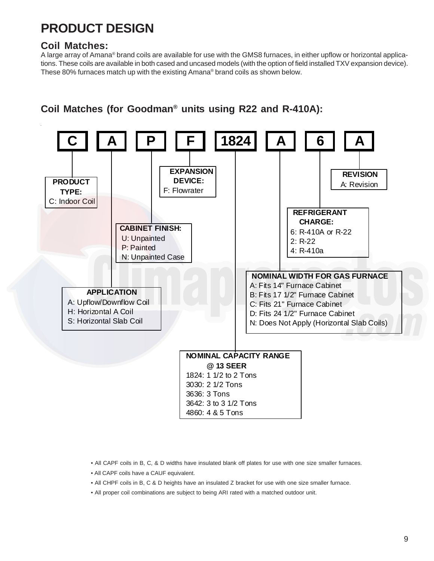#### **Coil Matches:**

A large array of Amana® brand coils are available for use with the GMS8 furnaces, in either upflow or horizontal applications. These coils are available in both cased and uncased models (with the option of field installed TXV expansion device). These 80% furnaces match up with the existing Amana® brand coils as shown below.





• All CAPF coils in B, C, & D widths have insulated blank off plates for use with one size smaller furnaces.

- All CAPF coils have a CAUF equivalent.
- All CHPF coils in B, C & D heights have an insulated Z bracket for use with one size smaller furnace.
- All proper coil combinations are subject to being ARI rated with a matched outdoor unit.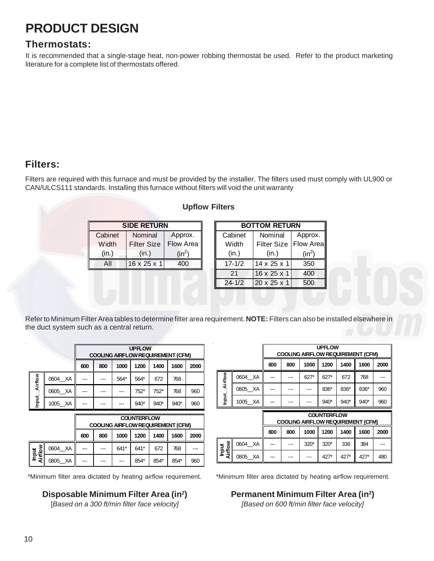### **Thermostats:**

It is recommended that a single-stage heat, non-power robbing thermostat be used. Refer to the product marketing literature for a complete list of thermostats offered.

### **Filters:**

Filters are required with this furnace and must be provided by the installer. The filters used must comply with UL900 or CAN/ULCS111 standards. Installing this furnace without filters will void the unit warranty

|         |                    |           | <b>Upflow Filters</b> |
|---------|--------------------|-----------|-----------------------|
|         | <b>SIDE RETURN</b> |           |                       |
| Cabinet | Nominal            | Approx.   | Cabi                  |
| Width   | <b>Filter Size</b> | Flow Area | Wic                   |
| (in.)   | (in.)              | $(in^2)$  | (in                   |
| All     | 16 x 25 x 1        | 400       |                       |
|         |                    |           |                       |

|       | <b>SIDE RETURN</b>      |           |            | <b>BOTTOM RETURN</b>    |           |
|-------|-------------------------|-----------|------------|-------------------------|-----------|
| binet | <b>Nominal</b>          | Approx.   | Cabinet    | Nominal                 | Approx.   |
| lidth | <b>Filter Size</b>      | Flow Area | Width      | <b>Filter Size</b>      | Flow Area |
| in.)  | (in.)                   | $(in^2)$  | (in.)      | (in.)                   | $(in^2)$  |
| All   | $16 \times 25 \times 1$ | 400       | $17 - 1/2$ | $14 \times 25 \times 1$ | 350       |
|       |                         |           | 21         | $16 \times 25 \times 1$ | 400       |

24-1/2 20 x 25 x 1 500

Refer to Minimum Filter Area tables to determine filter area requirement. **NOTE:** Filters can also be installed elsewhere in the duct system such as a central return.

|         |         | <b>UPFLOW</b><br><b>COOLING AIRFLOW REQUIREMENT (CFM)</b> |                                             |      |        |      |      |     |  |  |  |  |  |  |
|---------|---------|-----------------------------------------------------------|---------------------------------------------|------|--------|------|------|-----|--|--|--|--|--|--|
|         |         | 600                                                       | 1400<br>1000<br>1200<br>2000<br>800<br>1600 |      |        |      |      |     |  |  |  |  |  |  |
| Airflow | 0604 XA | ---                                                       | ---                                         | 564* | 564*   | 672  | 768  |     |  |  |  |  |  |  |
|         | 0605 XA |                                                           | ---                                         |      | $752*$ | 752* | 768  | 960 |  |  |  |  |  |  |
| Input   | 1005 XA |                                                           |                                             |      | 940*   | 940* | 940* | 960 |  |  |  |  |  |  |

|                  |         |                                                    | <b>COUNTERFLOW</b><br><b>COOLING AIRFLOW REQUIREMENT (CFM)</b> |      |      |      |     |     |  |  |  |  |  |  |  |
|------------------|---------|----------------------------------------------------|----------------------------------------------------------------|------|------|------|-----|-----|--|--|--|--|--|--|--|
|                  |         | 1400<br>1000<br>1200<br>600<br>800<br>1600<br>2000 |                                                                |      |      |      |     |     |  |  |  |  |  |  |  |
|                  | 0604 XA |                                                    |                                                                | 641* | 641* | 672  | 768 |     |  |  |  |  |  |  |  |
| Input<br>Airflow | 0805 XA |                                                    |                                                                |      | 854* | 854* |     | 960 |  |  |  |  |  |  |  |

#### **Disposable Minimum Filter Area (in2)**

[*Based on a 300 ft/min filter face velocity]*

|         |         |                                                    | <b>UPFLOW</b><br><b>COOLING AIRFLOW REQUIREMENT (CFM)</b> |  |        |        |        |     |  |  |  |  |  |  |  |
|---------|---------|----------------------------------------------------|-----------------------------------------------------------|--|--------|--------|--------|-----|--|--|--|--|--|--|--|
|         |         | 600<br>800<br>1000<br>1400<br>1200<br>2000<br>1600 |                                                           |  |        |        |        |     |  |  |  |  |  |  |  |
| Airflow | 0604 XA | ---                                                |                                                           |  | $627*$ | 672    | 768    |     |  |  |  |  |  |  |  |
|         | 0805 XA | ---                                                |                                                           |  | 836*   | 836*   | 836*   | 960 |  |  |  |  |  |  |  |
| Input   | 1005 XA | ---                                                |                                                           |  | $940*$ | $940*$ | $940*$ | 960 |  |  |  |  |  |  |  |

|  | Airflow          | 0604 XA |     | 627*<br>--- |        | $627*$                                                         | 672  | 768    |      |
|--|------------------|---------|-----|-------------|--------|----------------------------------------------------------------|------|--------|------|
|  |                  | 0805 XA |     |             |        | 836*                                                           | 836* | 836*   | 960  |
|  | Input            | 1005 XA |     |             |        | 940*<br>$940*$                                                 |      | $940*$ | 960  |
|  |                  |         |     |             |        | <b>COUNTERFLOW</b><br><b>COOLING AIRFLOW REQUIREMENT (CFM)</b> |      |        |      |
|  |                  |         | 600 | 800         | 1000   | 1200                                                           | 1400 | 1600   | 2000 |
|  |                  |         |     |             |        | $320*$                                                         | 336  | 384    |      |
|  | Input<br>Airflow | 0604 XA |     |             | $320*$ |                                                                |      |        |      |

\*Minimum filter area dictated by heating airflow requirement. \*Minimum filter area dictated by heating airflow requirement.

#### **Permanent Minimum Filter Area (in2 )**

*[Based on 600 ft/min filter face velocity]*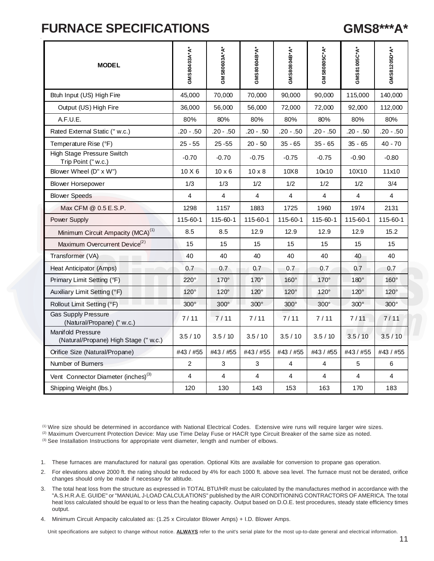### **FURNACE SPECIFICATIONS**

| <b>GMS8***A*</b> |
|------------------|
|                  |

| <b>MODEL</b>                                               | GMS80403A*A*   | GMS80603A*A*   | GMS80604B*A*   | GMS80804B*A*   | GMS80805C*A*   | GMS81005C*A* | GMS81205D*A* |
|------------------------------------------------------------|----------------|----------------|----------------|----------------|----------------|--------------|--------------|
| Btuh Input (US) High Fire                                  | 45,000         | 70,000         | 70,000         | 90,000         | 90,000         | 115,000      | 140,000      |
| Output (US) High Fire                                      | 36,000         | 56,000         | 56,000         | 72,000         | 72,000         | 92,000       | 112,000      |
| A.F.U.E.                                                   | 80%            | 80%            | 80%            | 80%            | 80%            | 80%          | 80%          |
| Rated External Static (" w.c.)                             | $.20 - .50$    | $.20 - .50$    | $.20 - .50$    | $.20 - .50$    | $.20 - .50$    | $.20 - .50$  | $.20 - .50$  |
| Temperature Rise (°F)                                      | $25 - 55$      | $25 - 55$      | $20 - 50$      | $35 - 65$      | $35 - 65$      | $35 - 65$    | $40 - 70$    |
| <b>High Stage Pressure Switch</b><br>Trip Point ("w.c.)    | $-0.70$        | $-0.70$        | $-0.75$        | $-0.75$        | $-0.75$        | $-0.90$      | $-0.80$      |
| Blower Wheel (D" x W")                                     | $10 \times 6$  | $10 \times 6$  | $10 \times 8$  | 10X8           | 10x10          | 10X10        | 11x10        |
| <b>Blower Horsepower</b>                                   | 1/3            | 1/3            | 1/2            | 1/2            | 1/2            | 1/2          | 3/4          |
| <b>Blower Speeds</b>                                       | $\overline{4}$ | $\overline{4}$ | $\overline{4}$ | $\overline{4}$ | 4              | 4            | 4            |
| Max CFM @ 0.5 E.S.P.                                       | 1298           | 1157           | 1883           | 1725           | 1960           | 1974         | 2131         |
| Power Supply                                               | 115-60-1       | $115 - 60 - 1$ | 115-60-1       | 115-60-1       | $115 - 60 - 1$ | 115-60-1     | 115-60-1     |
| Minimum Circuit Ampacity (MCA) <sup>(1)</sup>              | 8.5            | 8.5            | 12.9           | 12.9           | 12.9           | 12.9         | 15.2         |
| Maximum Overcurrent Device <sup>(2)</sup>                  | 15             | 15             | 15             | 15             | 15             | 15           | 15           |
| Transformer (VA)                                           | 40             | 40             | 40             | 40             | 40             | 40           | 40           |
| Heat Anticipator (Amps)                                    | 0.7            | 0.7            | 0.7            | 0.7            | 0.7            | 0.7          | 0.7          |
| Primary Limit Setting (°F)                                 | $220^\circ$    | $170^\circ$    | $170^\circ$    | $160^\circ$    | $170^\circ$    | $180^\circ$  | $160^\circ$  |
| Auxiliary Limit Setting (°F)                               | $120^\circ$    | $120^\circ$    | $120^\circ$    | $120^\circ$    | $120^\circ$    | $120^\circ$  | $120^\circ$  |
| Rollout Limit Setting (°F)                                 | $300^\circ$    | $300^\circ$    | $300^\circ$    | $300^\circ$    | $300^\circ$    | $300^\circ$  | $300^\circ$  |
| <b>Gas Supply Pressure</b><br>(Natural/Propane) (" w.c.)   | 7/11           | $7/11$         | 7/11           | 7/11           | 7/11           | 7/11         | 7/11         |
| Manifold Pressure<br>(Natural/Propane) High Stage (" w.c.) | 3.5/10         | 3.5/10         | 3.5/10         | 3.5/10         | 3.5/10         | 3.5/10       | 3.5/10       |
| Orifice Size (Natural/Propane)                             | #43 / #55      | #43 / #55      | #43 / #55      | #43 / #55      | #43 / #55      | #43 / #55    | #43 / #55    |
| Number of Burners                                          | $\overline{2}$ | 3              | 3              | 4              | 4              | 5            | 6            |
| Vent Connector Diameter (inches) <sup>(3)</sup>            | $\overline{4}$ | $\overline{4}$ | $\overline{4}$ | $\overline{4}$ | 4              | 4            | 4            |
| Shipping Weight (lbs.)                                     | 120            | 130            | 143            | 153            | 163            | 170          | 183          |

(1) Wire size should be determined in accordance with National Electrical Codes. Extensive wire runs will require larger wire sizes.

(2) Maximum Overcurrent Protection Device: May use Time Delay Fuse or HACR type Circuit Breaker of the same size as noted.

(3) See Installation Instructions for appropriate vent diameter, length and number of elbows.

- 1. These furnaces are manufactured for natural gas operation. Optional Kits are available for conversion to propane gas operation.
- 2. For elevations above 2000 ft. the rating should be reduced by 4% for each 1000 ft. above sea level. The furnace must not be derated, orifice changes should only be made if necessary for altitude.
- 3. The total heat loss from the structure as expressed in TOTAL BTU/HR must be calculated by the manufactures method in accordance with the "A.S.H.R.A.E. GUIDE" or "MANUAL J-LOAD CALCULATIONS" published by the AIR CONDITIONING CONTRACTORS OF AMERICA. The total heat loss calculated should be equal to or less than the heating capacity. Output based on D.O.E. test procedures, steady state efficiency times output.
- 4. Minimum Circuit Ampacity calculated as: (1.25 x Circulator Blower Amps) + I.D. Blower Amps.

Unit specifications are subject to change without notice. **ALWAYS** refer to the unit's serial plate for the most up-to-date general and electrical information.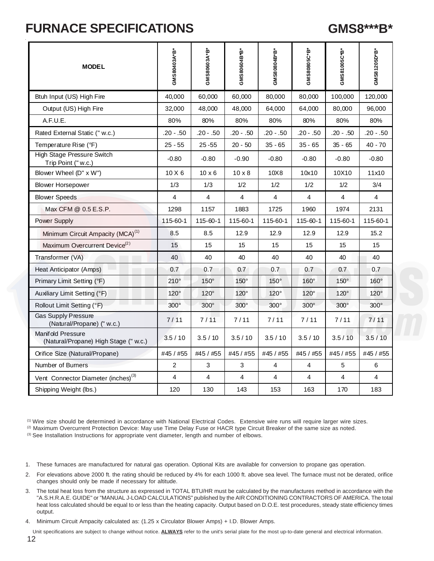### **FURNACE SPECIFICATIONS**

### **GMS8\*\*\*B\***

| <b>MODEL</b>                                               | GMS80403A*B*   | GMS80603A*B*   | GMS80604B*B*  | GMS80804B*B* | GMS80805C*B* | GMS81005C*B* | GMS81205D*B* |
|------------------------------------------------------------|----------------|----------------|---------------|--------------|--------------|--------------|--------------|
| Btuh Input (US) High Fire                                  | 40,000         | 60,000         | 60,000        | 80,000       | 80,000       | 100,000      | 120,000      |
| Output (US) High Fire                                      | 32,000         | 48,000         | 48,000        | 64,000       | 64,000       | 80,000       | 96,000       |
| A.F.U.E.                                                   | 80%            | 80%            | 80%           | 80%          | 80%          | 80%          | 80%          |
| Rated External Static (" w.c.)                             | $.20 - .50$    | $.20 - .50$    | $.20 - .50$   | $.20 - .50$  | $.20 - .50$  | $.20 - .50$  | $.20 - .50$  |
| Temperature Rise (°F)                                      | $25 - 55$      | $25 - 55$      | $20 - 50$     | $35 - 65$    | $35 - 65$    | 35 - 65      | 40 - 70      |
| High Stage Pressure Switch<br>Trip Point ("w.c.)           | $-0.80$        | $-0.80$        | $-0.90$       | $-0.80$      | $-0.80$      | $-0.80$      | $-0.80$      |
| Blower Wheel (D" x W")                                     | $10 \times 6$  | $10 \times 6$  | $10 \times 8$ | 10X8         | 10x10        | 10X10        | 11x10        |
| <b>Blower Horsepower</b>                                   | 1/3            | 1/3            | 1/2           | 1/2          | 1/2          | 1/2          | 3/4          |
| <b>Blower Speeds</b>                                       | 4              | 4              | 4             | 4            | 4            | 4            | 4            |
| Max CFM @ 0.5 E.S.P.                                       | 1298           | 1157           | 1883          | 1725         | 1960         | 1974         | 2131         |
| <b>Power Supply</b>                                        | 115-60-1       | $115 - 60 - 1$ | 115-60-1      | 115-60-1     | 115-60-1     | 115-60-1     | 115-60-1     |
| Minimum Circuit Ampacity (MCA) <sup>(1)</sup>              | 8.5            | 8.5            | 12.9          | 12.9         | 12.9         | 12.9         | 15.2         |
| Maximum Overcurrent Device <sup>(2)</sup>                  | 15             | 15             | 15            | 15           | 15           | 15           | 15           |
| Transformer (VA)                                           | 40             | 40             | 40            | 40           | 40           | 40           | 40           |
| Heat Anticipator (Amps)                                    | 0.7            | 0.7            | 0.7           | 0.7          | 0.7          | 0.7          | 0.7          |
| Primary Limit Setting (°F)                                 | $210^\circ$    | $150^\circ$    | $150^\circ$   | $150^\circ$  | $160^\circ$  | $150^\circ$  | $160^\circ$  |
| Auxiliary Limit Setting (°F)                               | 120°           | $120^\circ$    | $120^\circ$   | $120^\circ$  | $120^\circ$  | $120^\circ$  | $120^\circ$  |
| Rollout Limit Setting (°F)                                 | $300^\circ$    | $300^\circ$    | $300^\circ$   | $300^\circ$  | $300^\circ$  | $300^\circ$  | $300^\circ$  |
| <b>Gas Supply Pressure</b><br>(Natural/Propane) (" w.c.)   | 7/11           | 7/11           | 7/11          | 7/11         | 7/11         | 7/11         | 7/11         |
| Manifold Pressure<br>(Natural/Propane) High Stage (" w.c.) | 3.5/10         | 3.5/10         | 3.5/10        | 3.5/10       | 3.5/10       | 3.5/10       | 3.5/10       |
| Orifice Size (Natural/Propane)                             | #45 / #55      | #45 / #55      | #45 / #55     | #45 / #55    | #45 / #55    | #45 / #55    | #45 / #55    |
| Number of Burners                                          | $\overline{2}$ | 3              | 3             | 4            | 4            | 5            | 6            |
| Vent Connector Diameter (inches) <sup>(3)</sup>            | 4              | $\overline{4}$ | 4             | 4            | 4            | 4            | 4            |
| Shipping Weight (lbs.)                                     | 120            | 130            | 143           | 153          | 163          | 170          | 183          |

(1) Wire size should be determined in accordance with National Electrical Codes. Extensive wire runs will require larger wire sizes. (2) Maximum Overcurrent Protection Device: May use Time Delay Fuse or HACR type Circuit Breaker of the same size as noted. <sup>(3)</sup> See Installation Instructions for appropriate vent diameter, length and number of elbows.

- 1. These furnaces are manufactured for natural gas operation. Optional Kits are available for conversion to propane gas operation.
- 2. For elevations above 2000 ft. the rating should be reduced by 4% for each 1000 ft. above sea level. The furnace must not be derated, orifice changes should only be made if necessary for altitude.
- 3. The total heat loss from the structure as expressed in TOTAL BTU/HR must be calculated by the manufactures method in accordance with the "A.S.H.R.A.E. GUIDE" or "MANUAL J-LOAD CALCULATIONS" published by the AIR CONDITIONING CONTRACTORS OF AMERICA. The total heat loss calculated should be equal to or less than the heating capacity. Output based on D.O.E. test procedures, steady state efficiency times output.
- 4. Minimum Circuit Ampacity calculated as: (1.25 x Circulator Blower Amps) + I.D. Blower Amps.

Unit specifications are subject to change without notice. **ALWAYS** refer to the unit's serial plate for the most up-to-date general and electrical information.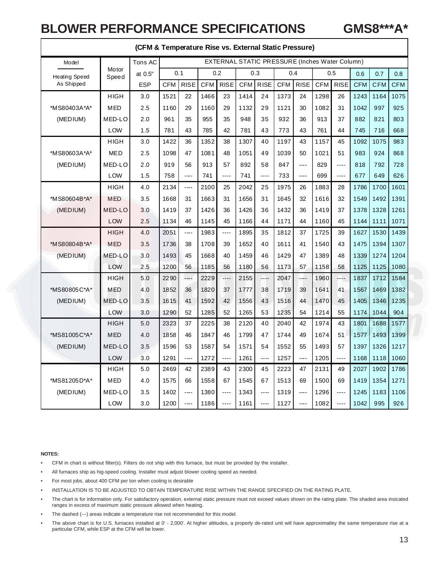### **BLOWER PERFORMANCE SPECIFICATIONS**

### **GMS8\*\*\*A\***

|                      | $\alpha$ remperature inservs. External static rilessure) |            |            |             |            |             |            |             |            |             |            |                                                |            |            |            |
|----------------------|----------------------------------------------------------|------------|------------|-------------|------------|-------------|------------|-------------|------------|-------------|------------|------------------------------------------------|------------|------------|------------|
| Model                |                                                          | Tons AC    |            |             |            |             |            |             |            |             |            | EXTERNAL STATIC PRESSURE (Inches Water Column) |            |            |            |
| <b>Heating Speed</b> | Motor<br>Speed                                           | at 0.5"    |            | 0.1         |            | 0.2         |            | 0.3         |            | 0.4         |            | 0.5                                            | 0.6        | 0.7        | 0.8        |
| As Shipped           |                                                          | <b>ESP</b> | <b>CFM</b> | <b>RISE</b> | <b>CFM</b> | <b>RISE</b> | <b>CFM</b> | <b>RISE</b> | <b>CFM</b> | <b>RISE</b> | <b>CFM</b> | <b>RISE</b>                                    | <b>CFM</b> | <b>CFM</b> | <b>CFM</b> |
|                      | <b>HIGH</b>                                              | 3.0        | 1521       | 22          | 1466       | 23          | 1414       | 24          | 1373       | 24          | 1298       | 26                                             | 1243       | 1164       | 1075       |
| *MS80403A*A*         | <b>MED</b>                                               | 2.5        | 1160       | 29          | 1160       | 29          | 1132       | 29          | 1121       | 30          | 1082       | 31                                             | 1042       | 997        | 925        |
| (MEDIUM)             | MED-LO                                                   | 2.0        | 961        | 35          | 955        | 35          | 948        | 35          | 932        | 36          | 913        | 37                                             | 882        | 821        | 803        |
|                      | LOW                                                      | 1.5        | 781        | 43          | 785        | 42          | 781        | 43          | 773        | 43          | 761        | 44                                             | 745        | 716        | 668        |
|                      | <b>HIGH</b>                                              | 3.0        | 1422       | 36          | 1352       | 38          | 1307       | 40          | 1197       | 43          | 1157       | 45                                             | 1092       | 1075       | 983        |
| *MS80603A*A*         | <b>MED</b>                                               | 2.5        | 1098       | 47          | 1081       | 48          | 1051       | 49          | 1039       | 50          | 1021       | 51                                             | 983        | 924        | 868        |
| (MEDIUM)             | MED-LO                                                   | 2.0        | 919        | 56          | 913        | 57          | 892        | 58          | 847        | $--- -$     | 829        | $---$                                          | 818        | 792        | 728        |
|                      | LOW                                                      | 1.5        | 758        | ----        | 741        | ----        | 741        | $---$       | 733        | ----        | 699        | $---$                                          | 677        | 649        | 626        |
|                      | <b>HIGH</b>                                              | 4.0        | 2134       | $---$       | 2100       | 25          | 2042       | 25          | 1975       | 26          | 1883       | 28                                             | 1786       | 1700       | 1601       |
| *MS80604B*A*         | <b>MED</b>                                               | 3.5        | 1668       | 31          | 1663       | 31          | 1656       | 31          | 1645       | 32          | 1616       | 32                                             | 1549       | 1492       | 1391       |
| (MEDIUM)             | MED-LO                                                   | 3.0        | 1419       | 37          | 1426       | 36          | 1426       | 36          | 1432       | 36          | 1419       | 37                                             | 1378       | 1328       | 1261       |
|                      | LOW                                                      | 2.5        | 1134       | 46          | 1145       | 45          | 1166       | 44          | 1171       | 44          | 1160       | 45                                             | 1144       | 1111       | 1071       |
|                      | <b>HIGH</b>                                              | 4.0        | 2051       | ----        | 1983       | ----        | 1895       | 35          | 1812       | 37          | 1725       | 39                                             | 1627       | 1530       | 1439       |
| *MS80804B*A*         | <b>MED</b>                                               | 3.5        | 1736       | 38          | 1708       | 39          | 1652       | 40          | 1611       | 41          | 1540       | 43                                             | 1475       | 1394       | 1307       |
| (MEDIUM)             | MED-LO                                                   | 3.0        | 1493       | 45          | 1668       | 40          | 1459       | 46          | 1429       | 47          | 1389       | 48                                             | 1339       | 1274       | 1204       |
|                      | LOW                                                      | 2.5        | 1200       | 56          | 1185       | 56          | 1180       | 56          | 1173       | 57          | 1158       | 58                                             | 1125       | 1125       | 1080       |
|                      | <b>HIGH</b>                                              | 5.0        | 2290       | $---$       | 2229       | ----        | 2155       | ----        | 2047       | ----        | 1960       | ----                                           | 1837       | 1712       | 1584       |
| *MS80805C*A*         | <b>MED</b>                                               | 4.0        | 1852       | 36          | 1820       | 37          | 1777       | 38          | 1719       | 39          | 1641       | 41                                             | 1567       | 1469       | 1382       |
| (MEDIUM)             | MED-LO                                                   | 3.5        | 1615       | 41          | 1592       | 42          | 1556       | 43          | 1516       | 44          | 1470       | 45                                             | 1405       | 1346       | 1235       |
|                      | LOW                                                      | 3.0        | 1290       | 52          | 1285       | 52          | 1265       | 53          | 1235       | 54          | 1214       | 55                                             | 1174       | 1044       | 904        |
|                      | <b>HIGH</b>                                              | 5.0        | 2323       | 37          | 2225       | 38          | 2120       | 40          | 2040       | 42          | 1974       | 43                                             | 1801       | 1688       | 1577       |
| *MS81005C*A*         | <b>MED</b>                                               | 4.0        | 1858       | 46          | 1847       | 46          | 1799       | 47          | 1744       | 49          | 1674       | 51                                             | 1577       | 1493       | 1399       |
| (MEDIUM)             | MED-LO                                                   | 3.5        | 1596       | 53          | 1587       | 54          | 1571       | 54          | 1552       | 55          | 1493       | 57                                             | 1397       | 1326       | 1217       |
|                      | LOW                                                      | 3.0        | 1291       | ----        | 1272       | ----        | 1261       | $---$       | 1257       | ----        | 1205       | $---$                                          | 1168       | 1118       | 1060       |
|                      | <b>HIGH</b>                                              | 5.0        | 2469       | 42          | 2389       | 43          | 2300       | 45          | 2223       | 47          | 2131       | 49                                             | 2027       | 1902       | 1786       |
| *MS81205D*A*         | <b>MED</b>                                               | 4.0        | 1575       | 66          | 1558       | 67          | 1545       | 67          | 1513       | 69          | 1500       | 69                                             | 1419       | 1354       | 1271       |
| (MEDIUM)             | MED-LO                                                   | 3.5        | 1402       | ----        | 1380       | $---$       | 1343       | ----        | 1319       | ----        | 1296       | $---$                                          | 1245       | 1183       | 1106       |
|                      | LOW                                                      | 3.0        | 1200       | $---$       | 1186       | $---$       | 1161       | $---$       | 1127       | $---$       | 1082       | $---$                                          | 1042       | 995        | 926        |

#### **(CFM & Temperature Rise vs. External Static Pressure)**

#### **NOTES:**

- CFM in chart is without filter(s). Filters do not ship with this furnace, but must be provided by the installer.
- All furnaces ship as hig-speed cooling. Installer must adjust blower cooling speed as needed.
- For most jobs, about 400 CFM per ton when cooling is desirable
- INSTALLATION IS TO BE ADJUSTED TO OBTAIN TEMPERATURE RISE WITHIN THE RANGE SPECIFIED ON THE RATING PLATE.
- The chart is for information only. For satisfactory operation, external static pressure must not exceed values shown on the rating plate. The shaded area insicated ranges in excess of maximum static pressure allowed when heating.
- The dashed (---) areas indicate a temperature rise not recommended for this model.
- The above chart is for U.S. furnaces installed at 0' 2,000'. At higher altitudes, a properly de-rated unit will have approximatley the same temperature rise at a particular CFM, while ESP at the CFM will be lower.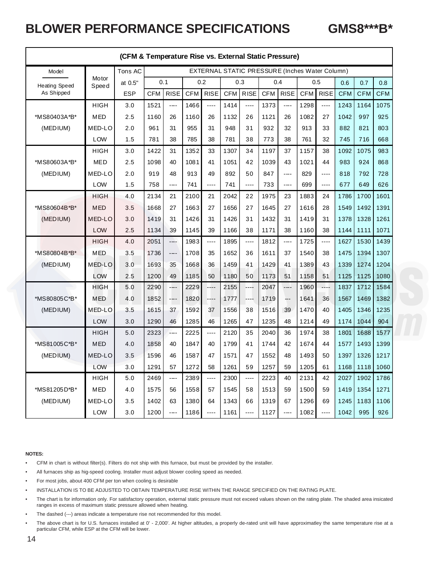### **BLOWER PERFORMANCE SPECIFICATIONS**

### **GMS8\*\*\*B\***

|                      | (CFM & Temperature Rise vs. External Static Pressure) |            |            |             |            |             |            |             |            |             |            |                                                |            |            |            |
|----------------------|-------------------------------------------------------|------------|------------|-------------|------------|-------------|------------|-------------|------------|-------------|------------|------------------------------------------------|------------|------------|------------|
| Model                |                                                       | Tons AC    |            |             |            |             |            |             |            |             |            | EXTERNAL STATIC PRESSURE (Inches Water Column) |            |            |            |
| <b>Heating Speed</b> | Motor<br>Speed                                        | at 0.5"    |            | 0.1         |            | 0.2         |            | 0.3         | 0.4        |             |            | 0.5                                            | 0.6        | 0.7        | 0.8        |
| As Shipped           |                                                       | <b>ESP</b> | <b>CFM</b> | <b>RISE</b> | <b>CFM</b> | <b>RISE</b> | <b>CFM</b> | <b>RISE</b> | <b>CFM</b> | <b>RISE</b> | <b>CFM</b> | <b>RISE</b>                                    | <b>CFM</b> | <b>CFM</b> | <b>CFM</b> |
|                      | <b>HIGH</b>                                           | 3.0        | 1521       | ----        | 1466       | ----        | 1414       | ----        | 1373       | ----        | 1298       | ----                                           | 1243       | 1164       | 1075       |
| *MS80403A*B*         | <b>MED</b>                                            | 2.5        | 1160       | 26          | 1160       | 26          | 1132       | 26          | 1121       | 26          | 1082       | 27                                             | 1042       | 997        | 925        |
| (MEDIUM)             | MED-LO                                                | 2.0        | 961        | 31          | 955        | 31          | 948        | 31          | 932        | 32          | 913        | 33                                             | 882        | 821        | 803        |
|                      | LOW                                                   | 1.5        | 781        | 38          | 785        | 38          | 781        | 38          | 773        | 38          | 761        | 32                                             | 745        | 716        | 668        |
|                      | <b>HIGH</b>                                           | 3.0        | 1422       | 31          | 1352       | 33          | 1307       | 34          | 1197       | 37          | 1157       | 38                                             | 1092       | 1075       | 983        |
| *MS80603A*B*         | <b>MED</b>                                            | 2.5        | 1098       | 40          | 1081       | 41          | 1051       | 42          | 1039       | 43          | 1021       | 44                                             | 983        | 924        | 868        |
| (MEDIUM)             | MED-LO                                                | 2.0        | 919        | 48          | 913        | 49          | 892        | 50          | 847        | $---$       | 829        | $- - - -$                                      | 818        | 792        | 728        |
|                      | LOW                                                   | 1.5        | 758        | ----        | 741        | ----        | 741        | ----        | 733        | $ -$        | 699        | $- - - -$                                      | 677        | 649        | 626        |
|                      | <b>HIGH</b>                                           | 4.0        | 2134       | 21          | 2100       | 21          | 2042       | 22          | 1975       | 23          | 1883       | 24                                             | 1786       | 1700       | 1601       |
| *MS80604B*B*         | <b>MED</b>                                            | 3.5        | 1668       | 27          | 1663       | 27          | 1656       | 27          | 1645       | 27          | 1616       | 28                                             | 1549       | 1492       | 1391       |
| (MEDIUM)             | MED-LO                                                | 3.0        | 1419       | 31          | 1426       | 31          | 1426       | 31          | 1432       | 31          | 1419       | 31                                             | 1378       | 1328       | 1261       |
|                      | LOW                                                   | 2.5        | 1134       | 39          | 1145       | 39          | 1166       | 38          | 1171       | 38          | 1160       | 38                                             | 1144       | 1111       | 1071       |
|                      | <b>HIGH</b>                                           | 4.0        | 2051       | ----        | 1983       | ----        | 1895       | ----        | 1812       | ----        | 1725       | ----                                           | 1627       | 1530       | 1439       |
| *MS80804B*B*         | <b>MED</b>                                            | 3.5        | 1736       | $---$       | 1708       | 35          | 1652       | 36          | 1611       | 37          | 1540       | 38                                             | 1475       | 1394       | 1307       |
| (MEDIUM)             | MED-LO                                                | 3.0        | 1693       | 35          | 1668       | 36          | 1459       | 41          | 1429       | 41          | 1389       | 43                                             | 1339       | 1274       | 1204       |
|                      | LOW                                                   | 2.5        | 1200       | 49          | 1185       | 50          | 1180       | 50          | 1173       | 51          | 1158       | 51                                             | 1125       | 1125       | 1080       |
|                      | HIGH                                                  | 5.0        | 2290       | ----        | 2229       | ----        | 2155       | ----        | 2047       | ----        | 1960       | ----                                           | 1837       | 1712       | 1584       |
| *MS80805C*B*         | <b>MED</b>                                            | 4.0        | 1852       | ---         | 1820       | ----        | 1777       | ----        | 1719       | ---         | 1641       | 36                                             | 1567       | 1469       | 1382       |
| (MEDIUM)             | MED-LO                                                | 3.5        | 1615       | 37          | 1592       | 37          | 1556       | 38          | 1516       | 39          | 1470       | 40                                             | 1405       | 1346       | 1235       |
|                      | LOW                                                   | 3.0        | 1290       | 46          | 1285       | 46          | 1265       | 47          | 1235       | 48          | 1214       | 49                                             | 1174       | 1044       | 904        |
|                      | <b>HIGH</b>                                           | 5.0        | 2323       | ---         | 2225       | ----        | 2120       | 35          | 2040       | 36          | 1974       | 38                                             | 1801       | 1688       | 1577       |
| *MS81005C*B*         | <b>MED</b>                                            | 4.0        | 1858       | 40          | 1847       | 40          | 1799       | 41          | 1744       | 42          | 1674       | 44                                             | 1577       | 1493       | 1399       |
| (MEDIUM)             | MED-LO                                                | 3.5        | 1596       | 46          | 1587       | 47          | 1571       | 47          | 1552       | 48          | 1493       | 50                                             | 1397       | 1326       | 1217       |
|                      | LOW                                                   | 3.0        | 1291       | 57          | 1272       | 58          | 1261       | 59          | 1257       | 59          | 1205       | 61                                             | 1168       | 1118       | 1060       |
|                      | <b>HIGH</b>                                           | 5.0        | 2469       | $---$       | 2389       | ----        | 2300       | ----        | 2223       | 40          | 2131       | 42                                             | 2027       | 1902       | 1786       |
| *MS81205D*B*         | MED                                                   | 4.0        | 1575       | 56          | 1558       | 57          | 1545       | 58          | 1513       | 59          | 1500       | 59                                             | 1419       | 1354       | 1271       |
| (MEDIUM)             | MED-LO                                                | 3.5        | 1402       | 63          | 1380       | 64          | 1343       | 66          | 1319       | 67          | 1296       | 69                                             | 1245       | 1183       | 1106       |
|                      | LOW                                                   | 3.0        | 1200       | $---$       | 1186       | $---$       | 1161       | ----        | 1127       | $  -$       | 1082       | $- - - -$                                      | 1042       | 995        | 926        |

#### **NOTES:**

- CFM in chart is without filter(s). Filters do not ship with this furnace, but must be provided by the installer.
- All furnaces ship as hig-speed cooling. Installer must adjust blower cooling speed as needed.
- For most jobs, about 400 CFM per ton when cooling is desirable
- INSTALLATION IS TO BE ADJUSTED TO OBTAIN TEMPERATURE RISE WITHIN THE RANGE SPECIFIED ON THE RATING PLATE.
- The chart is for information only. For satisfactory operation, external static pressure must not exceed values shown on the rating plate. The shaded area insicated ranges in excess of maximum static pressure allowed when heating.
- The dashed (---) areas indicate a temperature rise not recommended for this model.
- The above chart is for U.S. furnaces installed at 0' 2,000'. At higher altitudes, a properly de-rated unit will have approximatley the same temperature rise at a particular CFM, while ESP at the CFM will be lower.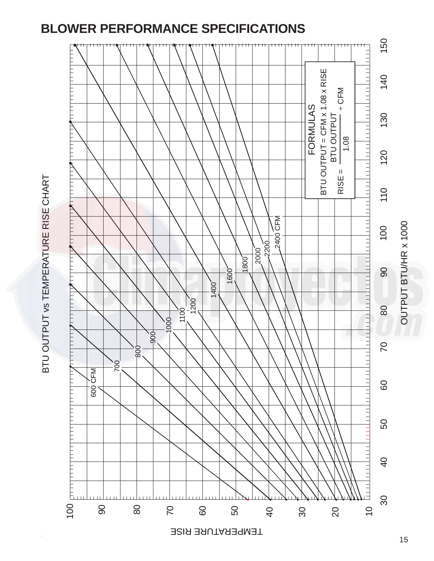

BTU OUTPUT vs TEMPERATURE RISE CHART BTU OUTPUT vs TEMPERATURE RISE CHART



OUTPUT BTU/HR x 1000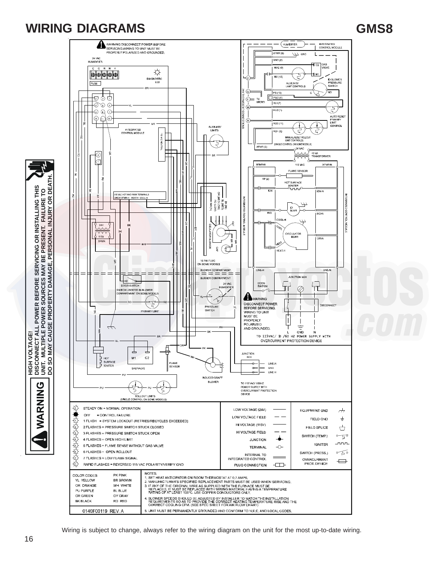## **WIRING DIAGRAMS**

**GMS8**



Wiring is subject to change, always refer to the wiring diagram on the unit for the most up-to-date wiring.

**HIGH VOLTAGE!**

WARNING

**DISCONNECT ALL POWER BEFORE SERVICING OR INSTALLING THIS**